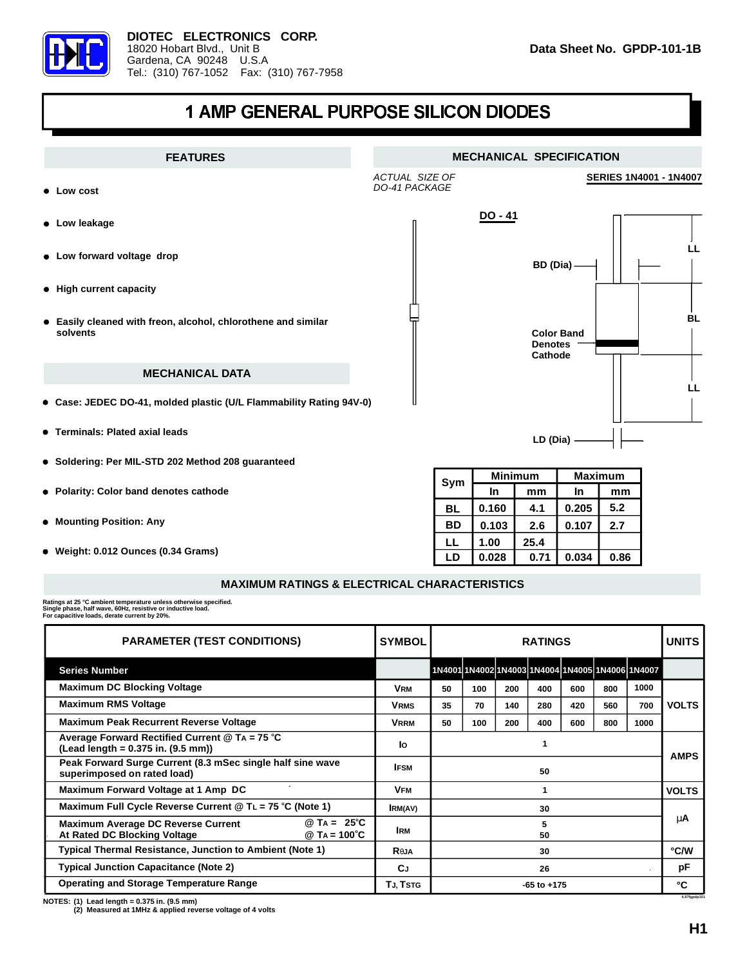

## 1 AMP GENERAL PURPOSE SILICON DIODES



## **MAXIMUM RATINGS & ELECTRICAL CHARACTERISTICS**

Ratings at 25 °C ambient temperature unless otherwise specified.<br>Single phase, half wave, 60Hz, resistive or inductive load.<br>For capacitive loads, derate current by 20%.

| <b>PARAMETER (TEST CONDITIONS)</b>                                                                                   | <b>SYMBOL</b>  | <b>RATINGS</b>  |     |     |     |     |     |                                                  | <b>UNITS</b> |
|----------------------------------------------------------------------------------------------------------------------|----------------|-----------------|-----|-----|-----|-----|-----|--------------------------------------------------|--------------|
| <b>Series Number</b>                                                                                                 |                |                 |     |     |     |     |     | 1N4001 1N4002 1N4003 1N4004 1N4005 1N4006 1N4007 |              |
| <b>Maximum DC Blocking Voltage</b>                                                                                   | <b>VRM</b>     | 50              | 100 | 200 | 400 | 600 | 800 | 1000                                             | <b>VOLTS</b> |
| <b>Maximum RMS Voltage</b>                                                                                           | <b>VRMS</b>    | 35              | 70  | 140 | 280 | 420 | 560 | 700                                              |              |
| <b>Maximum Peak Recurrent Reverse Voltage</b>                                                                        | <b>VRRM</b>    | 50              | 100 | 200 | 400 | 600 | 800 | 1000                                             |              |
| Average Forward Rectified Current $@$ TA = 75 $°C$<br>$($ Lead length = 0.375 in. $(9.5 \text{ mm})$ )               | Ιo             |                 |     |     |     |     |     | <b>AMPS</b>                                      |              |
| Peak Forward Surge Current (8.3 mSec single half sine wave<br>superimposed on rated load)                            | <b>IFSM</b>    | 50              |     |     |     |     |     |                                                  |              |
| Maximum Forward Voltage at 1 Amp DC                                                                                  | VFм            |                 |     |     |     |     |     |                                                  | <b>VOLTS</b> |
| Maximum Full Cycle Reverse Current @ TL = $75^{\circ}$ C (Note 1)                                                    | <b>IRM(AV)</b> | 30              |     |     |     |     |     |                                                  | μA           |
| $@$ TA = 25°C<br><b>Maximum Average DC Reverse Current</b><br>At Rated DC Blocking Voltage<br>@ TA = $100^{\circ}$ C | <b>IRM</b>     | 5<br>50         |     |     |     |     |     |                                                  |              |
| <b>Typical Thermal Resistance, Junction to Ambient (Note 1)</b>                                                      | <b>Reja</b>    | 30              |     |     |     |     |     |                                                  | °C/W         |
| <b>Typical Junction Capacitance (Note 2)</b>                                                                         | <b>C</b> J     | 26              |     |     |     |     |     | pF                                               |              |
| <b>Operating and Storage Temperature Range</b>                                                                       | TJ, TSTG       | $-65$ to $+175$ |     |     |     |     |     | ۰c<br>4.97fgpdp10                                |              |

**(1) Lead length = 0.375 in. (9.5 mm) NOTES:**

**(2) Measured at 1MHz & applied reverse voltage of 4 volts**